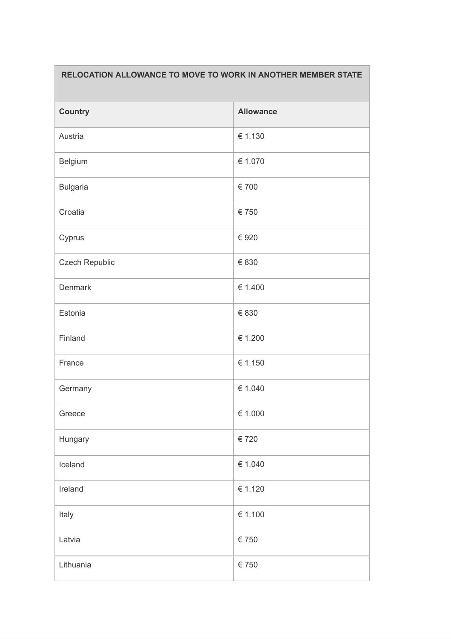## **RELOCATION ALLOWANCE TO MOVE TO WORK IN ANOTHER MEMBER STATE**

| <b>Country</b>  | <b>Allowance</b> |
|-----------------|------------------|
| Austria         | € 1.130          |
| Belgium         | € 1.070          |
| <b>Bulgaria</b> | € 700            |
| Croatia         | € 750            |
| Cyprus          | € 920            |
| Czech Republic  | € 830            |
| <b>Denmark</b>  | € 1.400          |
| Estonia         | € 830            |
| Finland         | € 1.200          |
| France          | € 1.150          |
| Germany         | € 1.040          |
| Greece          | € 1.000          |
| Hungary         | € 720            |
| Iceland         | € 1.040          |
| Ireland         | € 1.120          |
| Italy           | € 1.100          |
| Latvia          | € 750            |
| Lithuania       | $\in$ 750        |